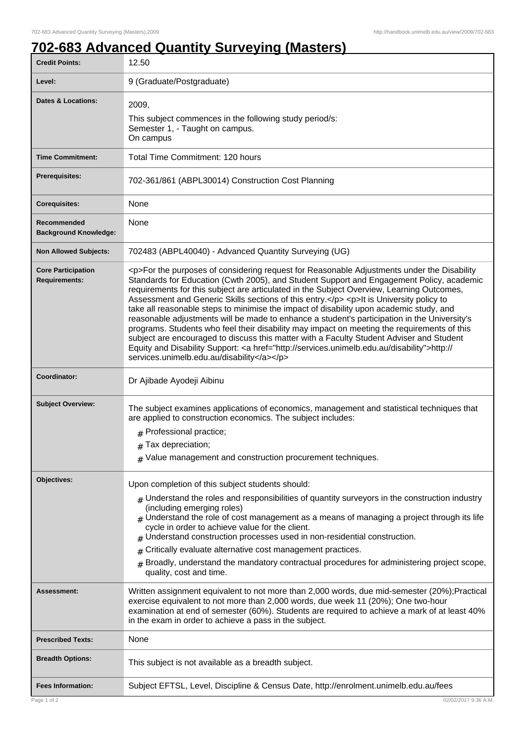1

## **702-683 Advanced Quantity Surveying (Masters)**

| <b>Credit Points:</b>                             | 12.50                                                                                                                                                                                                                                                                                                                                                                                                                                                                                                                                                                                                                                                                                                                                                                                                                                                                                                                        |
|---------------------------------------------------|------------------------------------------------------------------------------------------------------------------------------------------------------------------------------------------------------------------------------------------------------------------------------------------------------------------------------------------------------------------------------------------------------------------------------------------------------------------------------------------------------------------------------------------------------------------------------------------------------------------------------------------------------------------------------------------------------------------------------------------------------------------------------------------------------------------------------------------------------------------------------------------------------------------------------|
| Level:                                            | 9 (Graduate/Postgraduate)                                                                                                                                                                                                                                                                                                                                                                                                                                                                                                                                                                                                                                                                                                                                                                                                                                                                                                    |
| <b>Dates &amp; Locations:</b>                     | 2009,<br>This subject commences in the following study period/s:<br>Semester 1, - Taught on campus.<br>On campus                                                                                                                                                                                                                                                                                                                                                                                                                                                                                                                                                                                                                                                                                                                                                                                                             |
| <b>Time Commitment:</b>                           | Total Time Commitment: 120 hours                                                                                                                                                                                                                                                                                                                                                                                                                                                                                                                                                                                                                                                                                                                                                                                                                                                                                             |
| <b>Prerequisites:</b>                             | 702-361/861 (ABPL30014) Construction Cost Planning                                                                                                                                                                                                                                                                                                                                                                                                                                                                                                                                                                                                                                                                                                                                                                                                                                                                           |
| <b>Corequisites:</b>                              | None                                                                                                                                                                                                                                                                                                                                                                                                                                                                                                                                                                                                                                                                                                                                                                                                                                                                                                                         |
| Recommended<br><b>Background Knowledge:</b>       | None                                                                                                                                                                                                                                                                                                                                                                                                                                                                                                                                                                                                                                                                                                                                                                                                                                                                                                                         |
| <b>Non Allowed Subjects:</b>                      | 702483 (ABPL40040) - Advanced Quantity Surveying (UG)                                                                                                                                                                                                                                                                                                                                                                                                                                                                                                                                                                                                                                                                                                                                                                                                                                                                        |
| <b>Core Participation</b><br><b>Requirements:</b> | <p>For the purposes of considering request for Reasonable Adjustments under the Disability<br/>Standards for Education (Cwth 2005), and Student Support and Engagement Policy, academic<br/>requirements for this subject are articulated in the Subject Overview, Learning Outcomes,<br/>Assessment and Generic Skills sections of this entry.</p> <p>lt is University policy to<br/>take all reasonable steps to minimise the impact of disability upon academic study, and<br/>reasonable adjustments will be made to enhance a student's participation in the University's<br/>programs. Students who feel their disability may impact on meeting the requirements of this<br/>subject are encouraged to discuss this matter with a Faculty Student Adviser and Student<br/>Equity and Disability Support: &lt; a href="http://services.unimelb.edu.au/disability"&gt;http://<br/>services.unimelb.edu.au/disability</p> |
| Coordinator:                                      | Dr Ajibade Ayodeji Aibinu                                                                                                                                                                                                                                                                                                                                                                                                                                                                                                                                                                                                                                                                                                                                                                                                                                                                                                    |
| <b>Subject Overview:</b>                          | The subject examines applications of economics, management and statistical techniques that<br>are applied to construction economics. The subject includes:<br># Professional practice;<br>$#$ Tax depreciation;<br>$#$ Value management and construction procurement techniques.                                                                                                                                                                                                                                                                                                                                                                                                                                                                                                                                                                                                                                             |
| Objectives:                                       | Upon completion of this subject students should:                                                                                                                                                                                                                                                                                                                                                                                                                                                                                                                                                                                                                                                                                                                                                                                                                                                                             |
|                                                   | $_{\#}$ Understand the roles and responsibilities of quantity surveyors in the construction industry<br>(including emerging roles)<br>$_{\#}$ Understand the role of cost management as a means of managing a project through its life<br>cycle in order to achieve value for the client.<br>$#$ Understand construction processes used in non-residential construction.<br>Critically evaluate alternative cost management practices.<br>#<br>Broadly, understand the mandatory contractual procedures for administering project scope,<br>quality, cost and time.                                                                                                                                                                                                                                                                                                                                                          |
| <b>Assessment:</b>                                | Written assignment equivalent to not more than 2,000 words, due mid-semester (20%); Practical<br>exercise equivalent to not more than 2,000 words, due week 11 (20%); One two-hour<br>examination at end of semester (60%). Students are required to achieve a mark of at least 40%<br>in the exam in order to achieve a pass in the subject.                                                                                                                                                                                                                                                                                                                                                                                                                                                                                                                                                                                |
| <b>Prescribed Texts:</b>                          | None                                                                                                                                                                                                                                                                                                                                                                                                                                                                                                                                                                                                                                                                                                                                                                                                                                                                                                                         |
| <b>Breadth Options:</b>                           | This subject is not available as a breadth subject.                                                                                                                                                                                                                                                                                                                                                                                                                                                                                                                                                                                                                                                                                                                                                                                                                                                                          |
| <b>Fees Information:</b>                          | Subject EFTSL, Level, Discipline & Census Date, http://enrolment.unimelb.edu.au/fees                                                                                                                                                                                                                                                                                                                                                                                                                                                                                                                                                                                                                                                                                                                                                                                                                                         |
| Page 1 of 2                                       | 02/02/2017 9:36 A.M.                                                                                                                                                                                                                                                                                                                                                                                                                                                                                                                                                                                                                                                                                                                                                                                                                                                                                                         |